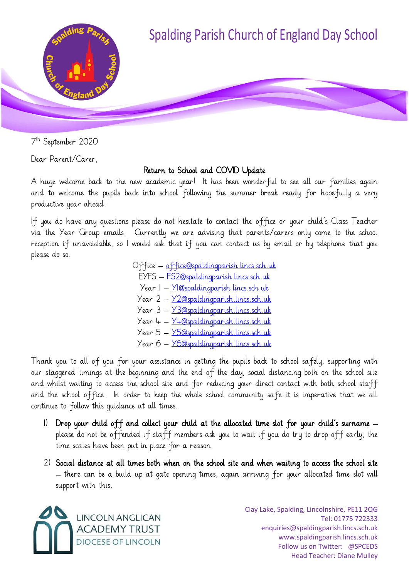

7 th September 2020

Dear Parent/Carer,

## Return to School and COVID Update

A huge welcome back to the new academic year! It has been wonderful to see all our families again and to welcome the pupils back into school following the summer break ready for hopefully a very productive year ahead.

If you do have any questions please do not hesitate to contact the office or your child's Class Teacher via the Year Group emails. Currently we are advising that parents/carers only come to the school reception if unavoidable, so I would ask that if you can contact us by email or by telephone that you please do so.

> Office – [office@spaldingparish.lincs.sch.uk](mailto:office@spaldingparish.lincs.sch.uk) EYFS – [FS2@spaldingparish.lincs.sch.uk](mailto:FS2@spaldingparish.lincs.sch.uk) Year 1 – [Y1@spaldingparish.lincs.sch.uk](mailto:Y1@spaldingparish.lincs.sch.uk) Year 2 – [Y2@spaldingparish.lincs.sch.uk](mailto:Y2@spaldingparish.lincs.sch.uk) Year 3 – [Y3@spaldingparish.lincs.sch.uk](mailto:Y3@spaldingparish.lincs.sch.uk) Year 4 – [Y4@spaldingparish.lincs.sch.uk](mailto:Y4@spaldingparish.lincs.sch.uk) Year 5 – [Y5@spaldingparish.lincs.sch.uk](mailto:Y5@spaldingparish.lincs.sch.uk) Year 6 – [Y6@spaldingparish.lincs.sch.uk](mailto:Y6@spaldingparish.lincs.sch.uk)

Thank you to all of you for your assistance in getting the pupils back to school safely, supporting with our staggered timings at the beginning and the end of the day, social distancing both on the school site and whilst waiting to access the school site and for reducing your direct contact with both school staff and the school office. In order to keep the whole school community safe it is imperative that we all continue to follow this guidance at all times.

- 1) Drop your child off and collect your child at the allocated time slot for your child's surname please do not be offended if staff members ask you to wait if you do try to drop off early, the time scales have been put in place for a reason.
- 2) Social distance at all times both when on the school site and when waiting to access the school site – there can be a build up at gate opening times, again arriving for your allocated time slot will support with this.



Clay Lake, Spalding, Lincolnshire, PE11 2QG Tel: 01775 722333 enquiries@spaldingparish.lincs.sch.uk www.spaldingparish.lincs.sch.uk Follow us on Twitter: @SPCEDS Head Teacher: Diane Mulley